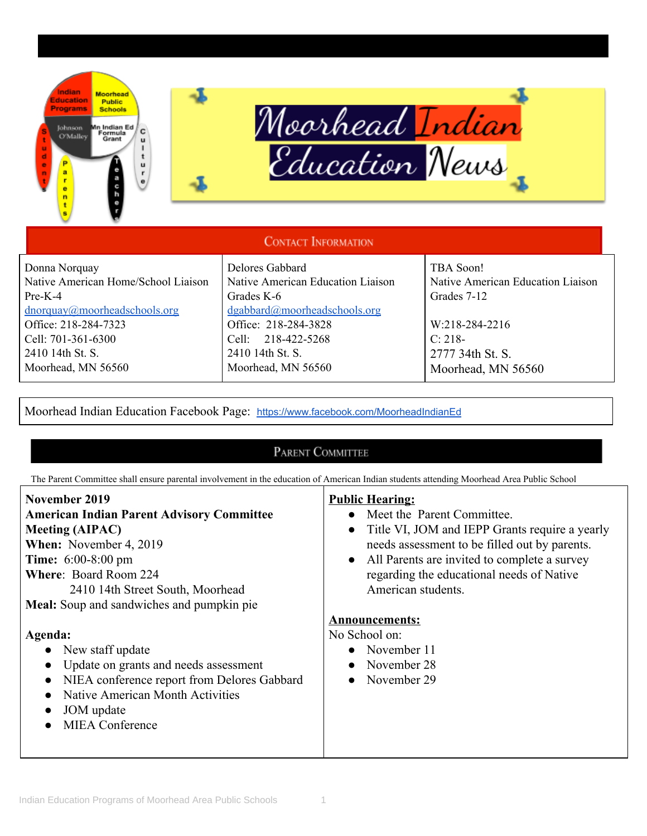

**HAP**





## **CONTACT INFORMATION**

Donna Norquay Native American Home/School Liaison Pre-K-4 [dnorquay@moorheadschools.org](mailto:dnorquay@moorheadschools.org) Office: 218-284-7323 Cell: 701-361-6300 2410 14th St. S. Moorhead, MN 56560

## Delores Gabbard Native American Education Liaison Grades K-6 [dgabbard@moorheadschools.org](mailto:dgabbard@moorheadschools.org) Office: 218-284-3828 Cell: 218-422-5268 2410 14th St. S. Moorhead, MN 56560

TBA Soon! Native American Education Liaison Grades 7-12 W:218-284-2216

C: 218- 2777 34th St. S. Moorhead, MN 56560

Moorhead Indian Education Facebook Page: [https://www.facebook.com/MoorheadIndianEd](https://www.facebook.com/Moorhead-Indian-Education-345494942315047/)

## PARENT COMMITTEE

The Parent Committee shall ensure parental involvement in the education of American Indian students attending Moorhead Area Public School

| November 2019<br><b>American Indian Parent Advisory Committee</b><br><b>Meeting (AIPAC)</b><br>When: November 4, 2019<br><b>Time:</b> 6:00-8:00 pm<br><b>Where: Board Room 224</b><br>2410 14th Street South, Moorhead<br>Meal: Soup and sandwiches and pumpkin pie | <b>Public Hearing:</b><br>• Meet the Parent Committee.<br>Title VI, JOM and IEPP Grants require a yearly<br>$\bullet$<br>needs assessment to be filled out by parents.<br>• All Parents are invited to complete a survey<br>regarding the educational needs of Native<br>American students. |
|---------------------------------------------------------------------------------------------------------------------------------------------------------------------------------------------------------------------------------------------------------------------|---------------------------------------------------------------------------------------------------------------------------------------------------------------------------------------------------------------------------------------------------------------------------------------------|
|                                                                                                                                                                                                                                                                     | <b>Announcements:</b>                                                                                                                                                                                                                                                                       |
| Agenda:<br>• New staff update<br>• Update on grants and needs assessment<br>NIEA conference report from Delores Gabbard<br>Native American Month Activities<br>JOM update<br>$\bullet$<br><b>MIEA</b> Conference                                                    | No School on:<br>• November $11$<br>November 28<br>$\bullet$<br>November 29<br>$\bullet$                                                                                                                                                                                                    |